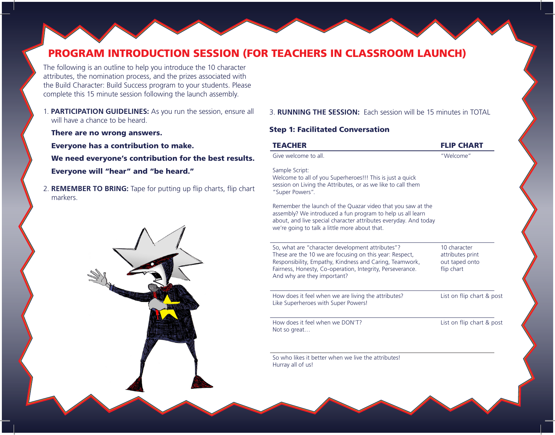## PROGRAM INTRODUCTION SESSION (FOR TEACHERS IN CLASSROOM LAUNCH)

The following is an outline to help you introduce the 10 character attributes, the nomination process, and the prizes associated with the Build Character: Build Success program to your students. Please complete this 15 minute session following the launch assembly.

1. **PARTICIPATION GUIDELINES:** As you run the session, ensure all will have a chance to be heard.

There are no wrong answers.

Everyone has a contribution to make. We need everyone's contribution for the best results. Everyone will "hear" and "be heard."

2. **REMEMBER TO BRING:** Tape for putting up flip charts, flip chart markers.



3. **RUNNING THE SESSION:** Each session will be 15 minutes in TOTAL

## Step 1: Facilitated Conversation

| <b>TEACHER</b>                                                                                                                                                                                                                                                     | <b>FLIP CHART</b>                                                |
|--------------------------------------------------------------------------------------------------------------------------------------------------------------------------------------------------------------------------------------------------------------------|------------------------------------------------------------------|
| Give welcome to all.                                                                                                                                                                                                                                               | "Welcome"                                                        |
| Sample Script:<br>Welcome to all of you Superheroes!!! This is just a quick<br>session on Living the Attributes, or as we like to call them<br>"Super Powers".                                                                                                     |                                                                  |
| Remember the launch of the Quazar video that you saw at the<br>assembly? We introduced a fun program to help us all learn<br>about, and live special character attributes everyday. And today<br>we're going to talk a little more about that.                     |                                                                  |
| So, what are "character development attributes"?<br>These are the 10 we are focusing on this year: Respect,<br>Responsibility, Empathy, Kindness and Caring, Teamwork,<br>Fairness, Honesty, Co-operation, Integrity, Perseverance.<br>And why are they important? | 10 character<br>attributes print<br>out taped onto<br>flip chart |
| How does it feel when we are living the attributes?<br>Like Superheroes with Super Powers!                                                                                                                                                                         | List on flip chart & post                                        |
| How does it feel when we DON'T?<br>Not so great                                                                                                                                                                                                                    | List on flip chart & post                                        |
| So who likes it better when we live the attributes!<br>Hurray all of us!                                                                                                                                                                                           |                                                                  |